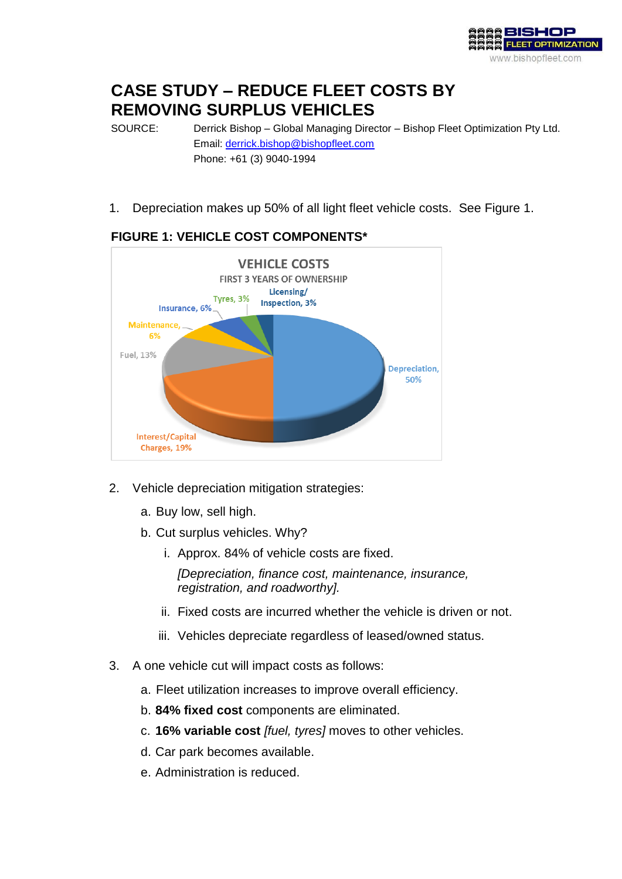

# **CASE STUDY – REDUCE FLEET COSTS BY REMOVING SURPLUS VEHICLES**

SOURCE: Derrick Bishop – Global Managing Director – Bishop Fleet Optimization Pty Ltd. Email: [derrick.bishop@bishopfleet.com](mailto:derrick.bishop@bishopfleet.com) Phone: +61 (3) 9040-1994

1. Depreciation makes up 50% of all light fleet vehicle costs. See Figure 1.



### **FIGURE 1: VEHICLE COST COMPONENTS\***

- 2. Vehicle depreciation mitigation strategies:
	- a. Buy low, sell high.
	- b. Cut surplus vehicles. Why?
		- i. Approx. 84% of vehicle costs are fixed.

*[Depreciation, finance cost, maintenance, insurance, registration, and roadworthy].*

- ii. Fixed costs are incurred whether the vehicle is driven or not.
- iii. Vehicles depreciate regardless of leased/owned status.
- 3. A one vehicle cut will impact costs as follows:
	- a. Fleet utilization increases to improve overall efficiency.
	- b. **84% fixed cost** components are eliminated.
	- c. **16% variable cost** *[fuel, tyres]* moves to other vehicles.
	- d. Car park becomes available.
	- e. Administration is reduced.